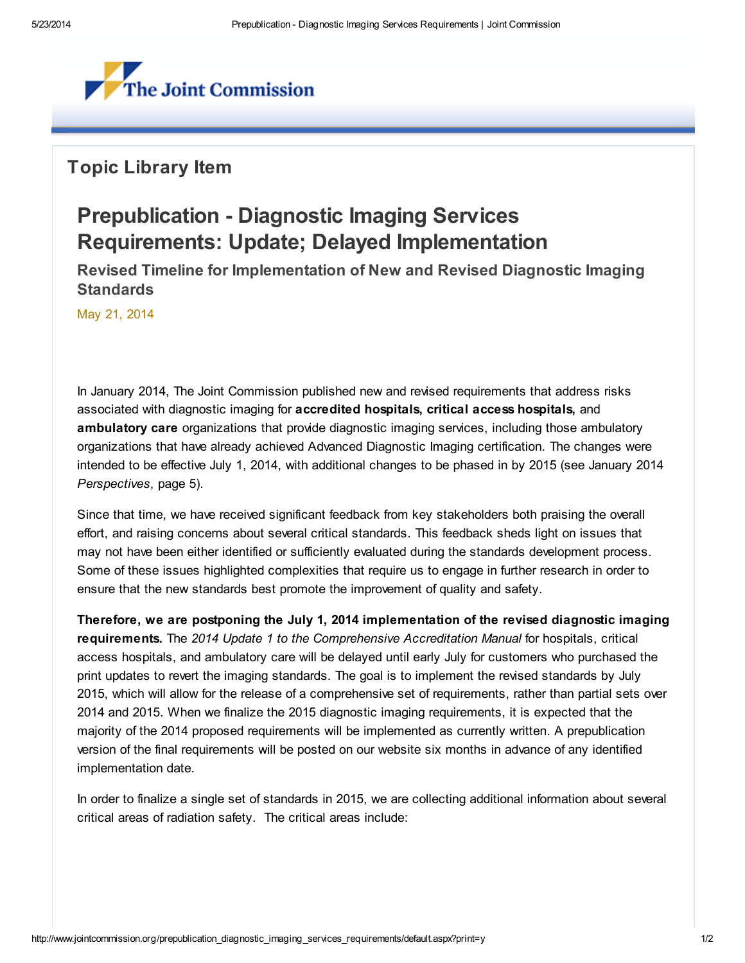

## Topic Library Item

## Prepublication - Diagnostic Imaging Services Requirements: Update; Delayed Implementation

Revised Timeline for Implementation of New and Revised Diagnostic Imaging **Standards** 

May 21, 2014

In January 2014, The Joint Commission published new and revised requirements that address risks associated with diagnostic imaging for accredited hospitals, critical access hospitals, and ambulatory care organizations that provide diagnostic imaging services, including those ambulatory organizations that have already achieved Advanced Diagnostic Imaging certification. The changes were intended to be effective July 1, 2014, with additional changes to be phased in by 2015 (see January 2014 Perspectives, page 5).

Since that time, we have received significant feedback from key stakeholders both praising the overall effort, and raising concerns about several critical standards. This feedback sheds light on issues that may not have been either identified or sufficiently evaluated during the standards development process. Some of these issues highlighted complexities that require us to engage in further research in order to ensure that the new standards best promote the improvement of quality and safety.

Therefore, we are postponing the July 1, 2014 implementation of the revised diagnostic imaging requirements. The 2014 Update 1 to the Comprehensive Accreditation Manual for hospitals, critical access hospitals, and ambulatory care will be delayed until early July for customers who purchased the print updates to revert the imaging standards. The goal is to implement the revised standards by July 2015, which will allow for the release of a comprehensive set of requirements, rather than partial sets over 2014 and 2015. When we finalize the 2015 diagnostic imaging requirements, it is expected that the majority of the 2014 proposed requirements will be implemented as currently written. A prepublication version of the final requirements will be posted on our website six months in advance of any identified implementation date.

In order to finalize a single set of standards in 2015, we are collecting additional information about several critical areas of radiation safety. The critical areas include: